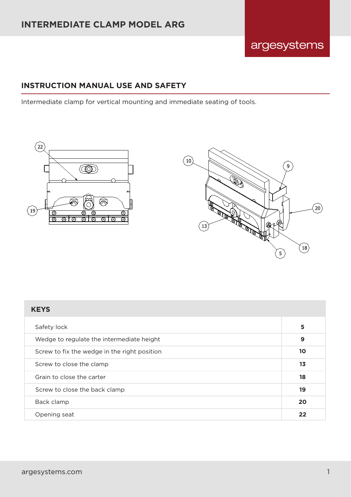#### **INSTRUCTION MANUAL USE AND SAFETY**

Intermediate clamp for vertical mounting and immediate seating of tools.





argesystems

| <b>KEYS</b>                                  |    |
|----------------------------------------------|----|
| Safety lock                                  | 5  |
| Wedge to regulate the intermediate height    | 9  |
| Screw to fix the wedge in the right position | 10 |
| Screw to close the clamp                     | 13 |
| Grain to close the carter                    | 18 |
| Screw to close the back clamp                | 19 |
| Back clamp                                   | 20 |
| Opening seat                                 | 22 |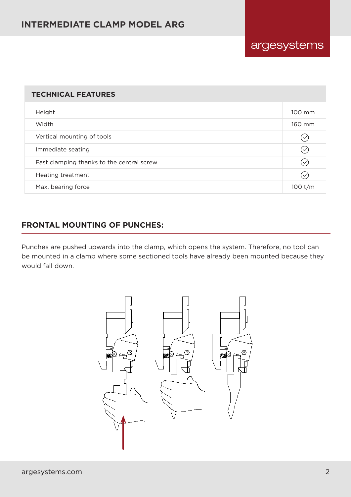# **INTERMEDIATE CLAMP MODEL ARG**

# argesystems

#### **TECHNICAL FEATURES**

| Height                                    | 100 mm       |
|-------------------------------------------|--------------|
| Width                                     | 160 mm       |
| Vertical mounting of tools                | $\checkmark$ |
| Immediate seating                         | $\checkmark$ |
| Fast clamping thanks to the central screw | $\checkmark$ |
| Heating treatment                         | $\checkmark$ |
| Max. bearing force                        | 100 t/m      |

#### **FRONTAL MOUNTING OF PUNCHES:**

Punches are pushed upwards into the clamp, which opens the system. Therefore, no tool can be mounted in a clamp where some sectioned tools have already been mounted because they would fall down.

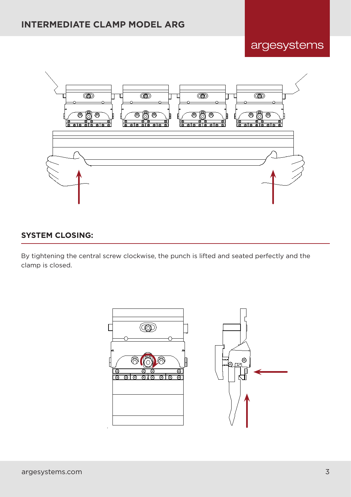argesystems



### **SYSTEM CLOSING:**

By tightening the central screw clockwise, the punch is lifted and seated perfectly and the clamp is closed.

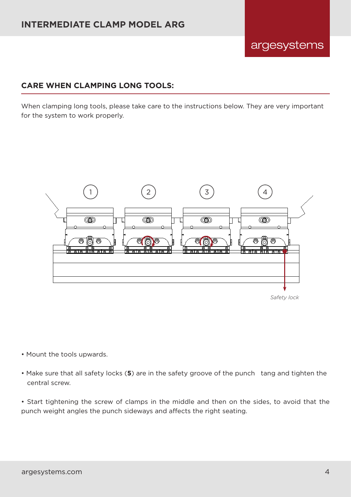#### **CARE WHEN CLAMPING LONG TOOLS:**

When clamping long tools, please take care to the instructions below. They are very important for the system to work properly.



*Safety lock*

argesystems

- Mount the tools upwards.
- Make sure that all safety locks (**5**) are in the safety groove of the punch tang and tighten the central screw.

• Start tightening the screw of clamps in the middle and then on the sides, to avoid that the punch weight angles the punch sideways and affects the right seating.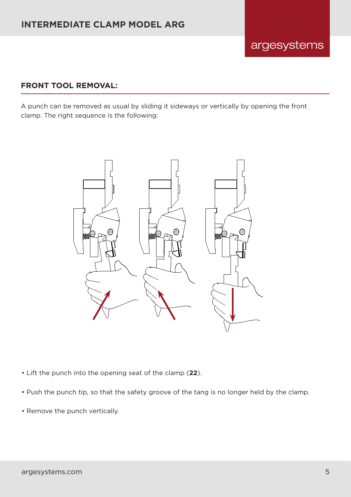#### **FRONT TOOL REMOVAL:**

A punch can be removed as usual by sliding it sideways or vertically by opening the front clamp. The right sequence is the following:



- Lift the punch into the opening seat of the clamp (**22**).
- Push the punch tip, so that the safety groove of the tang is no longer held by the clamp.
- Remove the punch vertically.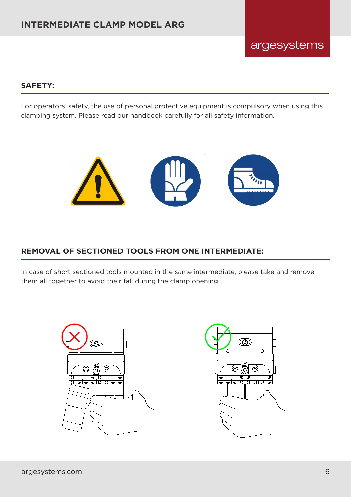## **SAFETY:**

For operators' safety, the use of personal protective equipment is compulsory when using this clamping system. Please read our handbook carefully for all safety information.



# **REMOVAL OF SECTIONED TOOLS FROM ONE INTERMEDIATE:**

In case of short sectioned tools mounted in the same intermediate, please take and remove them all together to avoid their fall during the clamp opening.